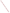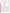

#### **UNITED STATES ENVIRONMENTAL PROTECTION AGENCY**  Office of Research and Development Washington, D.C. 20460



### **ENVIRONMENTAL TECHNOLOGY VERIFICATION PROGRAM VERIFICATION STATEMENT**

| <b>TECHNOLOGY TYPE:</b>    | <b>FIELD-PORTABLE GAS CHROMATOGRAPH/</b><br><b>MASS SPECTROMETER</b>     |
|----------------------------|--------------------------------------------------------------------------|
| APPLICATION:               | MEASUREMENT OF CHLORINATED VOLATILE ORGANIC<br><b>COMPOUNDS IN WATER</b> |
| <b>TECHNOLOGY NAME:</b>    | <b>HAPSITE</b> with Headspace Sampling Accessory                         |
| <b>COMPANY</b><br>ADDRESS: | Inficon, Inc.<br><b>Two Technology Place</b><br>East Syracuse, NY 13057  |
| PHONE:                     | (315) 434-1100                                                           |

### **PROGRAM DESCRIPTION**

The U.S. Environmental Protection Agency (EPA) created the Environmental Technology Verification Program (ETV) to facilitate the deployment of innovative environmental technologies through performance verification and information dissemination. The goal of the ETV Program is to further environmental protection by substantially accelerating the acceptance and use of improved and cost-effective technologies. The ETV Program is intended to assist and inform those involved in the design, distribution, permitting, and purchase of environmental technologies.

Under this program, in partnership with recognized testing organizations, and with the full participation of the technology developer, the EPA evaluates the performance of innovative technologies by developing demonstration plans, conducting field tests, collecting and analyzing the demonstration results, and preparing reports. The testing is conducted in accordance with rigorous quality assurance protocols to ensure that data of known and adequate quality are generated and that the results are defensible. The EPA National Exposure Research Laboratory, in cooperation with Sandia National Laboratories, the testing organization, evaluated field-portable systems for monitoring chlorinated volatile organic compounds (VOCs) in water. This verification statement provides a summary of the demonstration and results for the Inficon HAPSITE field-portable gas chromatograph/mass spectrometer (GC/MS) system.

### **DEMONSTRATION DESCRIPTION**

The field demonstration of the HAPSITE portable GC/MS was held in September 1997. The demonstration was designed to assess the instrument's ability to detect and measure chlorinated volatile organic compounds in groundwater at two contaminated sites: the Department of Energy's Savannah River Site, near Aiken, South Carolina, and the McClellan Air Force Base, near Sacramento, California. Groundwater samples from each site were supplemented with performance evaluation (PE) samples of known composition. Both sample types were used to assess instrument accuracy, precision, sample throughput, and comparability to reference laboratory results. The primary target compounds at the Savannah River Site were trichloroethene and tetrachloroethene. At McClellan Air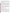Force Base, the target compounds were trichloroethene, tetrachloroethene, 1,2-dichloroethane, 1,1,2trichloroethane, 1,2-dichloropropane, and *trans*-1,3-dichloropropene. These sites were chosen because they contain varied concentrations of chlorinated VOCs and exhibit different climatic and geologic conditions. The conditions at these sites are typical, but not inclusive, of those under which this technology would be expected to operate. A complete description of the demonstration, including a data summary and discussion of results, may be found in the report entitled *Environmental Technology Verification Report, Field-Portable Gas Chromatograph/Mass Spectrometer, Inficon, Inc., HAPSITE.* (EPA/600/R-98/142).

## **TECHNOLOGY DESCRIPTION**

GC/MS is a proven laboratory analytical technology that has been used for environmental characterization and monitoring for many years. The combination of gas chromatography and mass spectrometry allows the rapid separation and identification of compounds in complex mixtures. The gas chromatograph separates the sample into individual components. These components are introduced into the electron impact source module of the spectrometer, where the molecules are fragmented into ions by an electron beam. The ion fragments are further separated by mass and detected by an electron multiplier. The resulting mass spectrum is characteristic of a particular compound and can be used to identify each component in the sample extract through comparison with a reference spectral library. Quantitation is achieved by comparing the abundance of ions which are characteristic of a specific compound with the detector response from the analysis of a standard mixture. Field-portable GC/MS is a versatile technique that can be used to provide rapid screening data or laboratory-quality analyses. As with many field analytical studies, it may be necessary to send a portion of the samples to an independent laboratory for confirmatory analyses.

The Inficon HAPSITE with a headspace sampling accessory is a commercially available GC/MS system that provides laboratory-grade performance in a field-transportable package. The instrument, including the on-board computer, is designed for field use and is encapsulated in a weather-resistant case. The GC/MS unit weighs about 35 pounds and the headspace sampling accessory weighs about 15 pounds. Both units can be easily transported and operated in the rear compartment of a minivan or station wagon. The instrument utilizes an equilibrium headspace technique for the analysis of VOCs in water. Instrument detection limits for most chlorinated VOCs in water are in the range of 5 to 10 mg/L. At the time of the demonstration, the cost of the HAPSITE with headspace accessory was in the range of \$75,000 to \$95,000, depending upon instrument options. Operational costs, which include consumable supplies but not labor costs, are on the order of \$150 per 8-hour day.

# **VERIFICATION OF PERFORMANCE**

The following performance characteristics of the HAPSITE were observed:

*Sample Throughput:* Throughput was approximately two to three water samples per hour. This rate includes the periodic analysis of blanks and calibration check samples.

*Completeness:* The HAPSITE reported results for all but one of the 166 PE and groundwater samples provided for analysis at the two demonstration sites. One sample was dropped during preparation.

*Analytical Versatility:* The HAPSITE detected all of the compounds in the PE samples for which it was calibrated. Its calibration included 84% (27 of 32) of all chlorinated and nonchlorinated volatile hydrocarbon compounds included in the PE samples at the demonstration. Additional compounds could have been detected with a longer GC/MS run time and a reduced sample throughput. The HAPSITE detected all (59 of 59) of the groundwater contaminants in excess of 5  $\mu g/L$  reported by the reference laboratory at both sites. A total of 68 contaminants, at concentration levels of  $1 \mu g/L$  or higher, were detected by the reference laboratory in all groundwater samples.

*Precision:* Precision was determined by analyzing sets of four replicate samples from a variety of PE mixtures containing known concentrations of chlorinated VOCs. The results are reported as relative standard deviations (RSD). The RSDs compiled for all reported PE compounds from both sites had a median value of 12% and a 95<sup>th</sup> percentile value of 29%. By comparison, the compiled RSDs from the reference laboratory had a median value of